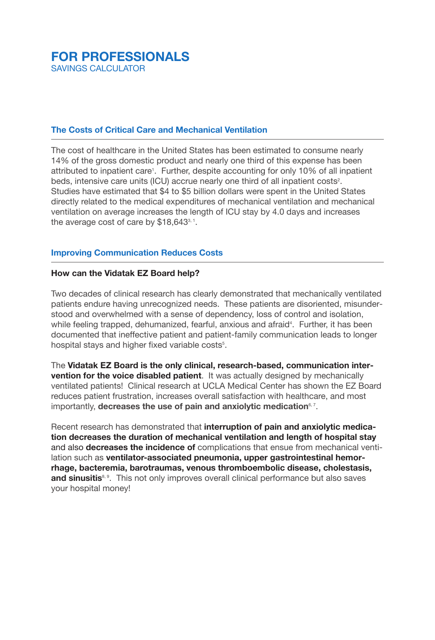# **FOR PROFESSIONALS** SAVINGS CALCULATOR

# **The Costs of Critical Care and Mechanical Ventilation**

The cost of healthcare in the United States has been estimated to consume nearly 14% of the gross domestic product and nearly one third of this expense has been attributed to inpatient care<sup>1</sup>. Further, despite accounting for only 10% of all inpatient beds, intensive care units (ICU) accrue nearly one third of all inpatient costs<sup>2</sup>. Studies have estimated that \$4 to \$5 billion dollars were spent in the United States directly related to the medical expenditures of mechanical ventilation and mechanical ventilation on average increases the length of ICU stay by 4.0 days and increases the average cost of care by  $$18,643^{\frac{3}{1}}$ .

# **Improving Communication Reduces Costs**

#### **How can the Vidatak EZ Board help?**

Two decades of clinical research has clearly demonstrated that mechanically ventilated patients endure having unrecognized needs. These patients are disoriented, misunderstood and overwhelmed with a sense of dependency, loss of control and isolation, while feeling trapped, dehumanized, fearful, anxious and afraid<sup>4</sup>. Further, it has been documented that ineffective patient and patient-family communication leads to longer hospital stays and higher fixed variable costs<sup>5</sup>.

The **Vidatak EZ Board is the only clinical, research-based, communication intervention for the voice disabled patient**. It was actually designed by mechanically ventilated patients! Clinical research at UCLA Medical Center has shown the EZ Board reduces patient frustration, increases overall satisfaction with healthcare, and most importantly, **decreases the use of pain and anxiolytic medication**6, 7.

Recent research has demonstrated that **interruption of pain and anxiolytic medication decreases the duration of mechanical ventilation and length of hospital stay** and also **decreases the incidence of** complications that ensue from mechanical ventilation such as **ventilator-associated pneumonia, upper gastrointestinal hemorrhage, bacteremia, barotraumas, venous thromboembolic disease, cholestasis, and sinusitis**<sup>8, 9</sup>. This not only improves overall clinical performance but also saves your hospital money!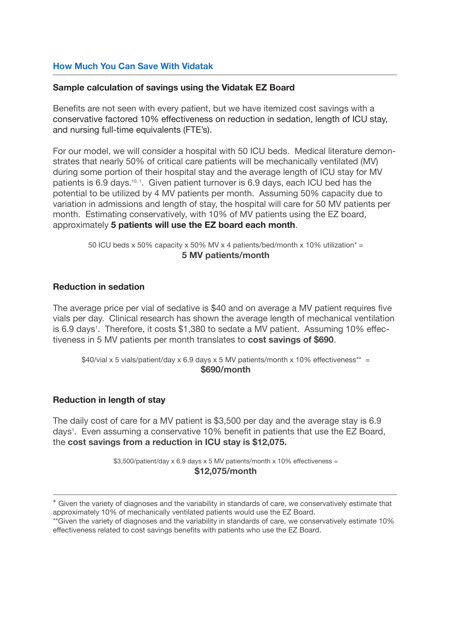## **How Much You Can Save With Vidatak**

#### **Sample calculation of savings using the Vidatak EZ Board**

Benefits are not seen with every patient, but we have itemized cost savings with a conservative factored 10% effectiveness on reduction in sedation, length of ICU stay, and nursing full-time equivalents (FTE's).

For our model, we will consider a hospital with 50 ICU beds. Medical literature demonstrates that nearly 50% of critical care patients will be mechanically ventilated (MV) during some portion of their hospital stay and the average length of ICU stay for MV patients is 6.9 days.<sup>10, 1</sup>. Given patient turnover is 6.9 days, each ICU bed has the potential to be utilized by 4 MV patients per month. Assuming 50% capacity due to variation in admissions and length of stay, the hospital will care for 50 MV patients per month. Estimating conservatively, with 10% of MV patients using the EZ board, approximately **5 patients will use the EZ board each month**.

> 50 ICU beds x 50% capacity x 50% MV x 4 patients/bed/month x 10% utilization<sup>\*</sup> = **5 MV patients/month**

#### **Reduction in sedation**

The average price per vial of sedative is \$40 and on average a MV patient requires five vials per day. Clinical research has shown the average length of mechanical ventilation is 6.9 days<sup>1</sup>. Therefore, it costs \$1,380 to sedate a MV patient. Assuming 10% effectiveness in 5 MV patients per month translates to **cost savings of \$690**.

 $$40/via \times 5$  vials/patient/day x 6.9 days x 5 MV patients/month x 10% effectiveness\*\* = **\$690/month**

#### **Reduction in length of stay**

The daily cost of care for a MV patient is \$3,500 per day and the average stay is 6.9 days<sup>1</sup>. Even assuming a conservative 10% benefit in patients that use the EZ Board, the **cost savings from a reduction in ICU stay is \$12,075.**

> \$3,500/patient/day x 6.9 days x 5 MV patients/month x 10% effectiveness = **\$12,075/month**

<sup>\*</sup> Given the variety of diagnoses and the variability in standards of care, we conservatively estimate that approximately 10% of mechanically ventilated patients would use the EZ Board.

<sup>\*\*</sup>Given the variety of diagnoses and the variability in standards of care, we conservatively estimate 10% effectiveness related to cost savings benefits with patients who use the EZ Board.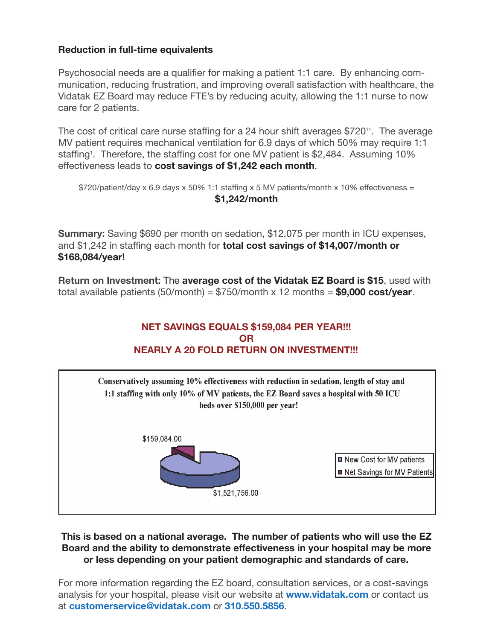# **Reduction in full-time equivalents**

Psychosocial needs are a qualifier for making a patient 1:1 care. By enhancing communication, reducing frustration, and improving overall satisfaction with healthcare, the Vidatak EZ Board may reduce FTE's by reducing acuity, allowing the 1:1 nurse to now care for 2 patients.

The cost of critical care nurse staffing for a 24 hour shift averages  $$720$ <sup>11</sup>. The average MV patient requires mechanical ventilation for 6.9 days of which 50% may require 1:1 staffing<sup>1</sup>. Therefore, the staffing cost for one MV patient is \$2,484. Assuming 10% effectiveness leads to **cost savings of \$1,242 each month**.

 $$720/patient/day \times 6.9$  days  $\times 50\%$  1:1 staffing  $\times 5$  MV patients/month  $\times 10\%$  effectiveness = **\$1,242/month**

**Summary:** Saving \$690 per month on sedation, \$12,075 per month in ICU expenses, and \$1,242 in staffing each month for **total cost savings of \$14,007/month or \$168,084/year!**

**Return on Investment:** The **average cost of the Vidatak EZ Board is \$15**, used with total available patients (50/month) = \$750/month x 12 months = **\$9,000 cost/year**.

## **NET SAVINGS EQUALS \$159,084 PER YEAR!!! OR NEARLY A 20 FOLD RETURN ON INVESTMENT!!!**



## **This is based on a national average. The number of patients who will use the EZ Board and the ability to demonstrate effectiveness in your hospital may be more or less depending on your patient demographic and standards of care.**

For more information regarding the EZ board, consultation services, or a cost-savings analysis for your hospital, please visit our website at **www.vidatak.com** or contact us at **customerservice@vidatak.com** or **310.550.5856**.